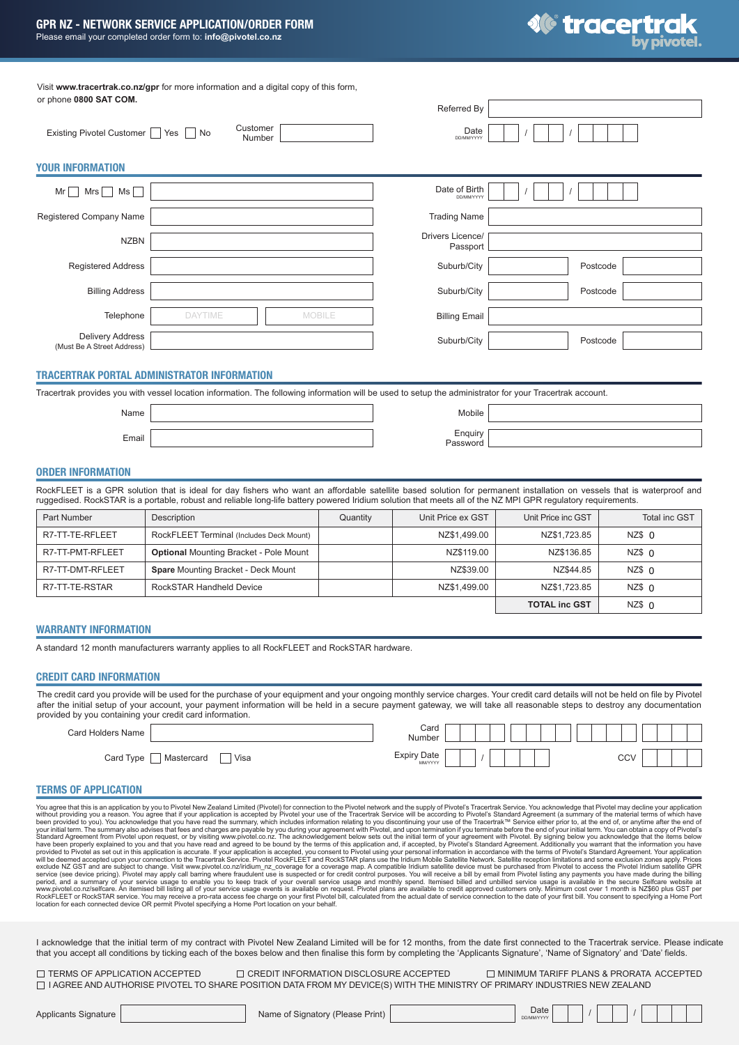

/ /

Visit **www.tracertrak.co.nz/gpr** for more information and a digital copy of this form, or phone **0800 SAT COM.**

|                                                |                |                    |               | Referred By                  |          |  |
|------------------------------------------------|----------------|--------------------|---------------|------------------------------|----------|--|
| Existing Pivotel Customer   Yes   No           |                | Customer<br>Number |               | Date<br>DD/MM/YYYY           |          |  |
| <b>YOUR INFORMATION</b>                        |                |                    |               |                              |          |  |
| Mr<br><b>Mrs</b><br>Ms                         |                |                    |               | Date of Birth<br>DD/MM/YYYY  |          |  |
| Registered Company Name                        |                |                    |               | <b>Trading Name</b>          |          |  |
| <b>NZBN</b>                                    |                |                    |               | Drivers Licence/<br>Passport |          |  |
| <b>Registered Address</b>                      |                |                    |               | Suburb/City                  | Postcode |  |
| <b>Billing Address</b>                         |                |                    |               | Suburb/City                  | Postcode |  |
| Telephone                                      | <b>DAYTIME</b> |                    | <b>MOBILE</b> | <b>Billing Email</b>         |          |  |
| Delivery Address<br>(Must Be A Street Address) |                |                    |               | Suburb/City                  | Postcode |  |

# TRACERTRAK PORTAL ADMINISTRATOR INFORMATION

Tracertrak provides you with vessel location information. The following information will be used to setup the administrator for your Tracertrak account.

Name Email

| │ Enquiry<br>  Password |  |
|-------------------------|--|
|                         |  |

Mobile

### ORDER INFORMATION

RockFLEET is a GPR solution that is ideal for day fishers who want an affordable satellite based solution for permanent installation on vessels that is waterproof and ruggedised. RockSTAR is a portable, robust and reliable long-life battery powered Iridium solution that meets all of the NZ MPI GPR regulatory requirements.

| <b>Part Number</b> | Description                                   | Quantity | Unit Price ex GST | Unit Price inc GST   | <b>Total inc GST</b> |
|--------------------|-----------------------------------------------|----------|-------------------|----------------------|----------------------|
| R7-TT-TE-RFLEET    | RockFLEET Terminal (Includes Deck Mount)      |          | NZ\$1.499.00      | NZ\$1.723.85         | NZ\$ O               |
| R7-TT-PMT-RFLEET   | <b>Optional Mounting Bracket - Pole Mount</b> |          | NZ\$119.00        | NZ\$136.85           | NZ\$ O               |
| R7-TT-DMT-RFLEET   | <b>Spare Mounting Bracket - Deck Mount</b>    |          | NZ\$39.00         | NZ\$44.85            | NZ\$ O               |
| R7-TT-TE-RSTAR     | RockSTAR Handheld Device                      |          | NZ\$1.499.00      | NZ\$1.723.85         | NZ\$ 0               |
|                    |                                               |          |                   | <b>TOTAL inc GST</b> | $NZ$$ 0              |

# WARRANTY INFORMATION

A standard 12 month manufacturers warranty applies to all RockFLEET and RockSTAR hardware.

# CREDIT CARD INFORMATION

The credit card you provide will be used for the purchase of your equipment and your ongoing monthly service charges. Your credit card details will not be held on file by Pivotel after the initial setup of your account, your payment information will be held in a secure payment gateway, we will take all reasonable steps to destroy any documentation provided by you containing your credit card information.

| Card Holders Name |            |      | Card<br>Number                |  |  |  |  |  |            |  |  |
|-------------------|------------|------|-------------------------------|--|--|--|--|--|------------|--|--|
| Card Type         | Mastercard | Visa | <b>Expiry Date</b><br>MM/YYYY |  |  |  |  |  | <b>CCV</b> |  |  |

### TERMS OF APPLICATION

You agree that this is an application by you to Pivotel New Zealand Limited (Pivotel New Zealand Limited (Pivotel New Zealand Limited New Zealand Limited Service (Source the Fivotel Insting any popination by you discontinu

I acknowledge that the initial term of my contract with Pivotel New Zealand Limited will be for 12 months, from the date first connected to the Tracertrak service. Please indicate that you accept all conditions by ticking each of the boxes below and then finalise this form by completing the 'Applicants Signature', 'Name of Signatory' and 'Date' fields.

T TERMS OF APPLICATION ACCEPTED I AGREE AND AUTHORISE PIVOTEL TO SHARE POSITION DATA FROM MY DEVICE(S) WITH THE MINISTRY OF PRIMARY INDUSTRIES NEW ZEALAND  $\Box$  CREDIT INFORMATION DISCLOSURE ACCEPTED  $\Box$  MINIMUM TARIFF PLANS & PRORATA ACCEPTED

Applicants Signature **Name of Signatory (Please Print)** Date Date Name of Signatory (Please Print) Date Discoversion